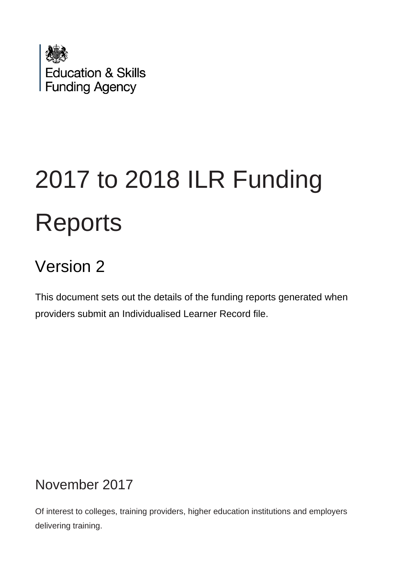

# 2017 to 2018 ILR Funding **Reports**

# Version 2

This document sets out the details of the funding reports generated when providers submit an Individualised Learner Record file.

# November 2017

Of interest to colleges, training providers, higher education institutions and employers delivering training.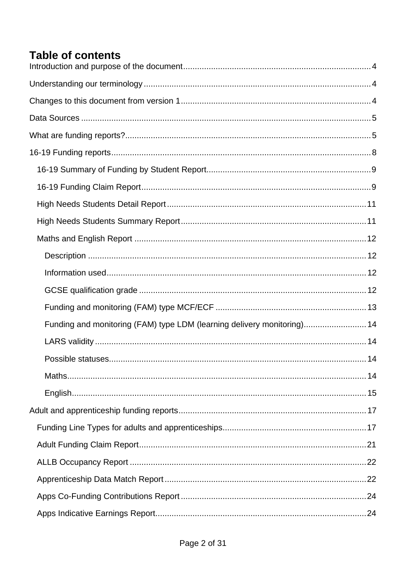# **Table of contents**

| Funding and monitoring (FAM) type LDM (learning delivery monitoring) 14 |  |
|-------------------------------------------------------------------------|--|
|                                                                         |  |
|                                                                         |  |
|                                                                         |  |
|                                                                         |  |
|                                                                         |  |
|                                                                         |  |
|                                                                         |  |
|                                                                         |  |
|                                                                         |  |
|                                                                         |  |
|                                                                         |  |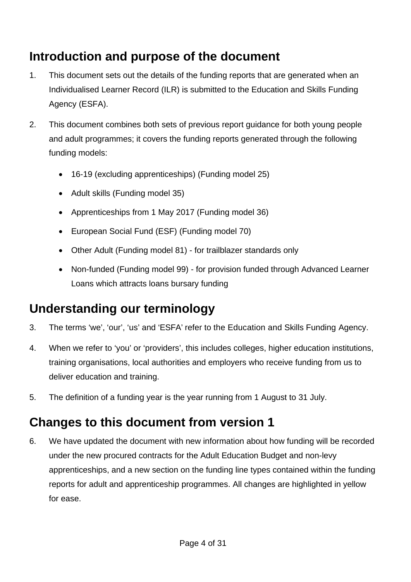# <span id="page-3-0"></span>**Introduction and purpose of the document**

- 1. This document sets out the details of the funding reports that are generated when an Individualised Learner Record (ILR) is submitted to the Education and Skills Funding Agency (ESFA).
- 2. This document combines both sets of previous report guidance for both young people and adult programmes; it covers the funding reports generated through the following funding models:
	- 16-19 (excluding apprenticeships) (Funding model 25)
	- Adult skills (Funding model 35)
	- Apprenticeships from 1 May 2017 (Funding model 36)
	- European Social Fund (ESF) (Funding model 70)
	- Other Adult (Funding model 81) for trailblazer standards only
	- Non-funded (Funding model 99) for provision funded through Advanced Learner Loans which attracts loans bursary funding

# <span id="page-3-1"></span>**Understanding our terminology**

- 3. The terms 'we', 'our', 'us' and 'ESFA' refer to the Education and Skills Funding Agency.
- 4. When we refer to 'you' or 'providers', this includes colleges, higher education institutions, training organisations, local authorities and employers who receive funding from us to deliver education and training.
- 5. The definition of a funding year is the year running from 1 August to 31 July.

# <span id="page-3-2"></span>**Changes to this document from version 1**

6. We have updated the document with new information about how funding will be recorded under the new procured contracts for the Adult Education Budget and non-levy apprenticeships, and a new section on the funding line types contained within the funding reports for adult and apprenticeship programmes. All changes are highlighted in yellow for ease.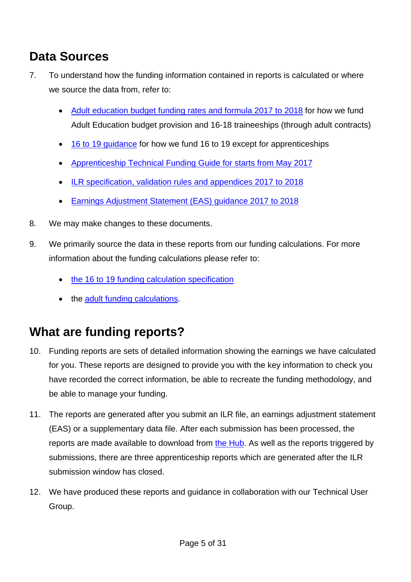# <span id="page-4-0"></span>**Data Sources**

- 7. To understand how the funding information contained in reports is calculated or where we source the data from, refer to:
	- [Adult education budget funding rates and formula 2017 to 2018](https://www.gov.uk/government/publications/adult-education-budget-funding-rates-and-formula-2017-to-2018) for how we fund Adult Education budget provision and 16-18 traineeships (through adult contracts)
	- 16 [to 19 guidance](https://www.gov.uk/government/publications/funding-rates-and-formula) for how we fund 16 to 19 except for apprenticeships
	- [Apprenticeship Technical Funding Guide for starts from May 2017](https://www.gov.uk/government/publications/apprenticeship-technical-funding-guide)
	- [ILR specification, validation rules and appendices 2017 to 2018](https://www.gov.uk/government/publications/ilr-specification-validation-rules-and-appendices-2017-to-2018)
	- [Earnings Adjustment Statement \(EAS\) guidance 2017](https://www.gov.uk/government/publications/earnings-adjustment-statement-eas-2017-to-2018) to 2018
- 8. We may make changes to these documents.
- 9. We primarily source the data in these reports from our funding calculations. For more information about the funding calculations please refer to:
	- the 16 to [19 funding calculation specification](https://www.gov.uk/government/uploads/system/uploads/attachment_data/file/645737/ESFA_2017_18_16to19_Funding_Calculation_Specification.PDF)
	- the adult [funding calculations.](https://www.gov.uk/government/publications/individualised-learner-record-ilr-check-that-data-is-accurate)

# <span id="page-4-1"></span>**What are funding reports?**

- 10. Funding reports are sets of detailed information showing the earnings we have calculated for you. These reports are designed to provide you with the key information to check you have recorded the correct information, be able to recreate the funding methodology, and be able to manage your funding.
- 11. The reports are generated after you submit an ILR file, an earnings adjustment statement (EAS) or a supplementary data file. After each submission has been processed, the reports are made available to download from [the Hub.](https://hub.fasst.org.uk/) As well as the reports triggered by submissions, there are three apprenticeship reports which are generated after the ILR submission window has closed.
- 12. We have produced these reports and guidance in collaboration with our Technical User Group.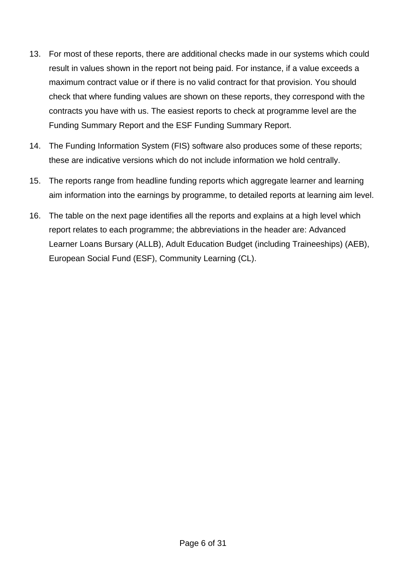- 13. For most of these reports, there are additional checks made in our systems which could result in values shown in the report not being paid. For instance, if a value exceeds a maximum contract value or if there is no valid contract for that provision. You should check that where funding values are shown on these reports, they correspond with the contracts you have with us. The easiest reports to check at programme level are the Funding Summary Report and the ESF Funding Summary Report.
- 14. The Funding Information System (FIS) software also produces some of these reports; these are indicative versions which do not include information we hold centrally.
- 15. The reports range from headline funding reports which aggregate learner and learning aim information into the earnings by programme, to detailed reports at learning aim level.
- 16. The table on the next page identifies all the reports and explains at a high level which report relates to each programme; the abbreviations in the header are: Advanced Learner Loans Bursary (ALLB), Adult Education Budget (including Traineeships) (AEB), European Social Fund (ESF), Community Learning (CL).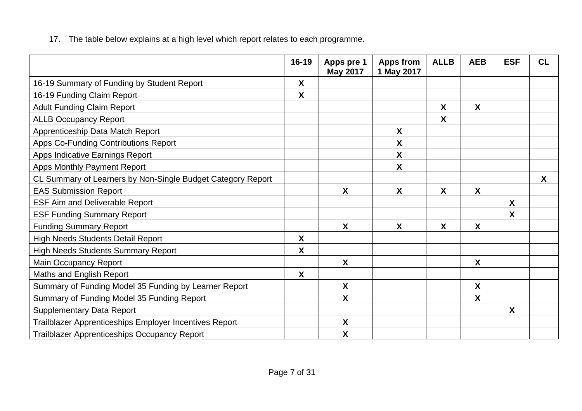17. The table below explains at a high level which report relates to each programme.

|                                                             | 16-19                     | Apps pre 1<br><b>May 2017</b> | Apps from<br>1 May 2017   | <b>ALLB</b>               | <b>AEB</b>       | <b>ESF</b>   | <b>CL</b>        |
|-------------------------------------------------------------|---------------------------|-------------------------------|---------------------------|---------------------------|------------------|--------------|------------------|
| 16-19 Summary of Funding by Student Report                  | X                         |                               |                           |                           |                  |              |                  |
| 16-19 Funding Claim Report                                  | $\boldsymbol{X}$          |                               |                           |                           |                  |              |                  |
| <b>Adult Funding Claim Report</b>                           |                           |                               |                           | $\boldsymbol{\mathsf{X}}$ | $\boldsymbol{X}$ |              |                  |
| <b>ALLB Occupancy Report</b>                                |                           |                               |                           | X                         |                  |              |                  |
| Apprenticeship Data Match Report                            |                           |                               | X                         |                           |                  |              |                  |
| Apps Co-Funding Contributions Report                        |                           |                               | $\boldsymbol{\mathsf{X}}$ |                           |                  |              |                  |
| Apps Indicative Earnings Report                             |                           |                               | $\boldsymbol{\mathsf{X}}$ |                           |                  |              |                  |
| Apps Monthly Payment Report                                 |                           |                               | X                         |                           |                  |              |                  |
| CL Summary of Learners by Non-Single Budget Category Report |                           |                               |                           |                           |                  |              | $\boldsymbol{X}$ |
| <b>EAS Submission Report</b>                                |                           | X                             | $\boldsymbol{X}$          | $\boldsymbol{\mathsf{X}}$ | $\boldsymbol{X}$ |              |                  |
| <b>ESF Aim and Deliverable Report</b>                       |                           |                               |                           |                           |                  | $\mathsf{X}$ |                  |
| <b>ESF Funding Summary Report</b>                           |                           |                               |                           |                           |                  | X            |                  |
| <b>Funding Summary Report</b>                               |                           | X                             | X                         | X                         | X                |              |                  |
| <b>High Needs Students Detail Report</b>                    | X                         |                               |                           |                           |                  |              |                  |
| <b>High Needs Students Summary Report</b>                   | X                         |                               |                           |                           |                  |              |                  |
| <b>Main Occupancy Report</b>                                |                           | X                             |                           |                           | $\boldsymbol{X}$ |              |                  |
| Maths and English Report                                    | $\boldsymbol{\mathsf{X}}$ |                               |                           |                           |                  |              |                  |
| Summary of Funding Model 35 Funding by Learner Report       |                           | X                             |                           |                           | $\boldsymbol{X}$ |              |                  |
| Summary of Funding Model 35 Funding Report                  |                           | $\boldsymbol{\mathsf{X}}$     |                           |                           | $\boldsymbol{X}$ |              |                  |
| <b>Supplementary Data Report</b>                            |                           |                               |                           |                           |                  | X            |                  |
| Trailblazer Apprenticeships Employer Incentives Report      |                           | $\boldsymbol{\mathsf{X}}$     |                           |                           |                  |              |                  |
| <b>Trailblazer Apprenticeships Occupancy Report</b>         |                           | $\pmb{\mathsf{X}}$            |                           |                           |                  |              |                  |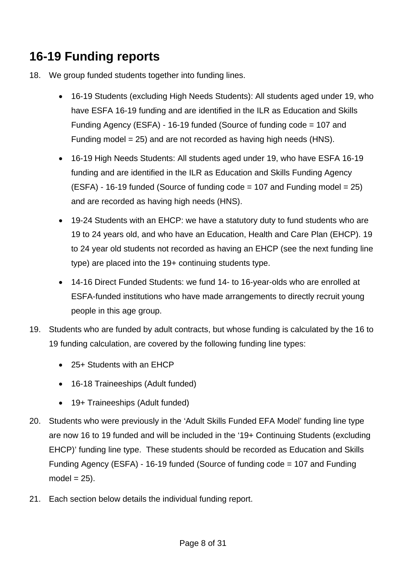# <span id="page-7-0"></span>**16-19 Funding reports**

- 18. We group funded students together into funding lines.
	- 16-19 Students (excluding High Needs Students): All students aged under 19, who have ESFA 16-19 funding and are identified in the ILR as Education and Skills Funding Agency (ESFA) - 16-19 funded (Source of funding code = 107 and Funding model = 25) and are not recorded as having high needs (HNS).
	- 16-19 High Needs Students: All students aged under 19, who have ESFA 16-19 funding and are identified in the ILR as Education and Skills Funding Agency  $(ESFA) - 16-19$  funded (Source of funding code = 107 and Funding model = 25) and are recorded as having high needs (HNS).
	- 19-24 Students with an EHCP: we have a statutory duty to fund students who are 19 to 24 years old, and who have an Education, Health and Care Plan (EHCP). 19 to 24 year old students not recorded as having an EHCP (see the next funding line type) are placed into the 19+ continuing students type.
	- 14-16 Direct Funded Students: we fund 14- to 16-year-olds who are enrolled at ESFA-funded institutions who have made arrangements to directly recruit young people in this age group.
- <span id="page-7-1"></span>19. Students who are funded by adult contracts, but whose funding is calculated by the 16 to 19 funding calculation, are covered by the following funding line types:
	- 25+ Students with an EHCP
	- 16-18 Traineeships (Adult funded)
	- 19+ Traineeships (Adult funded)
- <span id="page-7-2"></span>20. Students who were previously in the 'Adult Skills Funded EFA Model' funding line type are now 16 to 19 funded and will be included in the '19+ Continuing Students (excluding EHCP)' funding line type. These students should be recorded as Education and Skills Funding Agency (ESFA) - 16-19 funded (Source of funding code = 107 and Funding  $model = 25$ ).
- 21. Each section below details the individual funding report.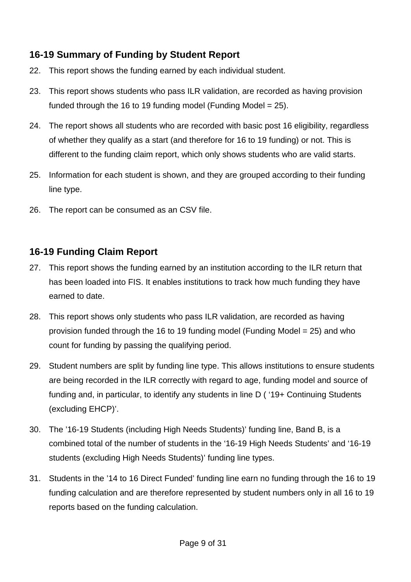# <span id="page-8-0"></span>**16-19 Summary of Funding by Student Report**

- 22. This report shows the funding earned by each individual student.
- 23. This report shows students who pass ILR validation, are recorded as having provision funded through the 16 to 19 funding model (Funding Model = 25).
- 24. The report shows all students who are recorded with basic post 16 eligibility, regardless of whether they qualify as a start (and therefore for 16 to 19 funding) or not. This is different to the funding claim report, which only shows students who are valid starts.
- 25. Information for each student is shown, and they are grouped according to their funding line type.
- 26. The report can be consumed as an CSV file.

## <span id="page-8-1"></span>**16-19 Funding Claim Report**

- 27. This report shows the funding earned by an institution according to the ILR return that has been loaded into FIS. It enables institutions to track how much funding they have earned to date.
- 28. This report shows only students who pass ILR validation, are recorded as having provision funded through the 16 to 19 funding model (Funding Model = 25) and who count for funding by passing the qualifying period.
- 29. Student numbers are split by funding line type. This allows institutions to ensure students are being recorded in the ILR correctly with regard to age, funding model and source of funding and, in particular, to identify any students in line D ( '19+ Continuing Students (excluding EHCP)'.
- 30. The '16-19 Students (including High Needs Students)' funding line, Band B, is a combined total of the number of students in the '16-19 High Needs Students' and '16-19 students (excluding High Needs Students)' funding line types.
- 31. Students in the '14 to 16 Direct Funded' funding line earn no funding through the 16 to 19 funding calculation and are therefore represented by student numbers only in all 16 to 19 reports based on the funding calculation.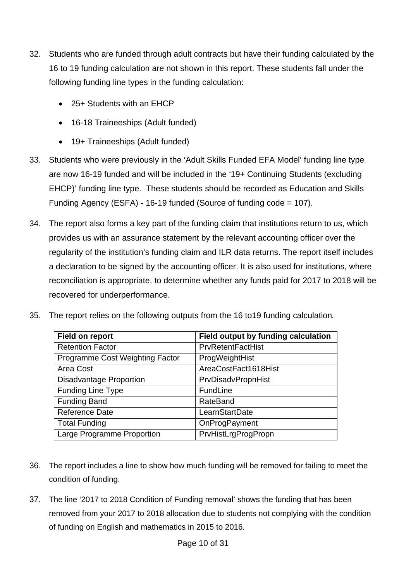- 32. Students who are funded through adult contracts but have their funding calculated by the 16 to 19 funding calculation are not shown in this report. These students fall under the following funding line types in the funding calculation:
	- 25+ Students with an EHCP
	- 16-18 Traineeships (Adult funded)
	- 19+ Traineeships (Adult funded)
- 33. Students who were previously in the 'Adult Skills Funded EFA Model' funding line type are now 16-19 funded and will be included in the '19+ Continuing Students (excluding EHCP)' funding line type. These students should be recorded as Education and Skills Funding Agency (ESFA) - 16-19 funded (Source of funding code = 107).
- 34. The report also forms a key part of the funding claim that institutions return to us, which provides us with an assurance statement by the relevant accounting officer over the regularity of the institution's funding claim and ILR data returns. The report itself includes a declaration to be signed by the accounting officer. It is also used for institutions, where reconciliation is appropriate, to determine whether any funds paid for 2017 to 2018 will be recovered for underperformance.
- 35. The report relies on the following outputs from the 16 to19 funding calculation*.*

| <b>Field on report</b>          | Field output by funding calculation |
|---------------------------------|-------------------------------------|
| <b>Retention Factor</b>         | <b>PrvRetentFactHist</b>            |
| Programme Cost Weighting Factor | ProgWeightHist                      |
| Area Cost                       | AreaCostFact1618Hist                |
| <b>Disadvantage Proportion</b>  | PrvDisadvPropnHist                  |
| <b>Funding Line Type</b>        | FundLine                            |
| <b>Funding Band</b>             | RateBand                            |
| <b>Reference Date</b>           | LearnStartDate                      |
| <b>Total Funding</b>            | OnProgPayment                       |
| Large Programme Proportion      | PrvHistLrgProgPropn                 |

- 36. The report includes a line to show how much funding will be removed for failing to meet the condition of funding.
- 37. The line '2017 to 2018 Condition of Funding removal' shows the funding that has been removed from your 2017 to 2018 allocation due to students not complying with the condition of funding on English and mathematics in 2015 to 2016.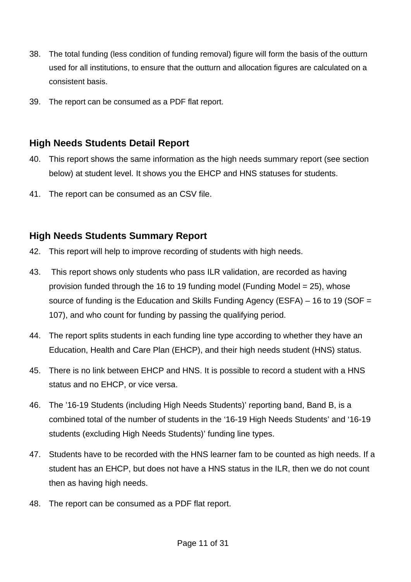- 38. The total funding (less condition of funding removal) figure will form the basis of the outturn used for all institutions, to ensure that the outturn and allocation figures are calculated on a consistent basis.
- 39. The report can be consumed as a PDF flat report.

#### <span id="page-10-0"></span>**High Needs Students Detail Report**

- 40. This report shows the same information as the high needs summary report (see section below) at student level. It shows you the EHCP and HNS statuses for students.
- 41. The report can be consumed as an CSV file.

#### <span id="page-10-1"></span>**High Needs Students Summary Report**

- 42. This report will help to improve recording of students with high needs.
- 43. This report shows only students who pass ILR validation, are recorded as having provision funded through the 16 to 19 funding model (Funding Model = 25), whose source of funding is the Education and Skills Funding Agency (ESFA) – 16 to 19 (SOF = 107), and who count for funding by passing the qualifying period.
- 44. The report splits students in each funding line type according to whether they have an Education, Health and Care Plan (EHCP), and their high needs student (HNS) status.
- 45. There is no link between EHCP and HNS. It is possible to record a student with a HNS status and no EHCP, or vice versa.
- 46. The '16-19 Students (including High Needs Students)' reporting band, Band B, is a combined total of the number of students in the '16-19 High Needs Students' and '16-19 students (excluding High Needs Students)' funding line types.
- 47. Students have to be recorded with the HNS learner fam to be counted as high needs. If a student has an EHCP, but does not have a HNS status in the ILR, then we do not count then as having high needs.
- 48. The report can be consumed as a PDF flat report.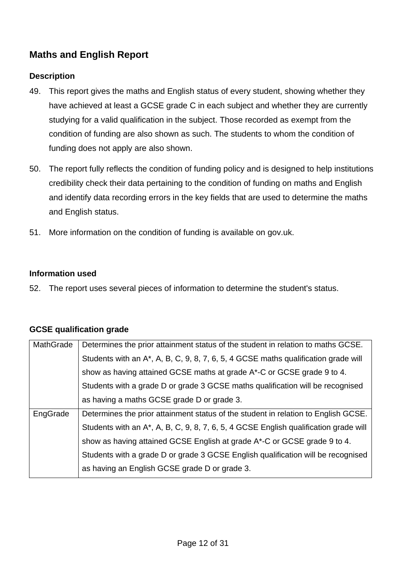# <span id="page-11-0"></span>**Maths and English Report**

#### <span id="page-11-1"></span>**Description**

- 49. This report gives the maths and English status of every student, showing whether they have achieved at least a GCSE grade C in each subject and whether they are currently studying for a valid qualification in the subject. Those recorded as exempt from the condition of funding are also shown as such. The students to whom the condition of funding does not apply are also shown.
- 50. The report fully reflects the condition of funding policy and is designed to help institutions credibility check their data pertaining to the condition of funding on maths and English and identify data recording errors in the key fields that are used to determine the maths and English status.
- 51. More information on the condition of funding is available on gov.uk.

#### <span id="page-11-2"></span>**Information used**

52. The report uses several pieces of information to determine the student's status.

#### <span id="page-11-3"></span>**GCSE qualification grade**

| MathGrade | Determines the prior attainment status of the student in relation to maths GCSE.       |
|-----------|----------------------------------------------------------------------------------------|
|           | Students with an $A^*$ , A, B, C, 9, 8, 7, 6, 5, 4 GCSE maths qualification grade will |
|           | show as having attained GCSE maths at grade A*-C or GCSE grade 9 to 4.                 |
|           | Students with a grade D or grade 3 GCSE maths qualification will be recognised         |
|           | as having a maths GCSE grade D or grade 3.                                             |
| EngGrade  | Determines the prior attainment status of the student in relation to English GCSE.     |
|           |                                                                                        |
|           | Students with an A*, A, B, C, 9, 8, 7, 6, 5, 4 GCSE English qualification grade will   |
|           | show as having attained GCSE English at grade A*-C or GCSE grade 9 to 4.               |
|           | Students with a grade D or grade 3 GCSE English qualification will be recognised       |
|           | as having an English GCSE grade D or grade 3.                                          |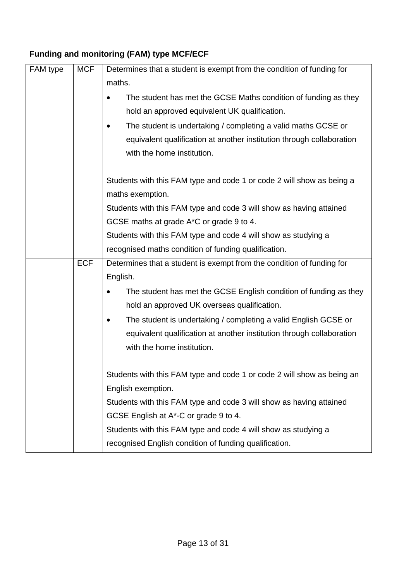# <span id="page-12-0"></span>**Funding and monitoring (FAM) type MCF/ECF**

| FAM type | <b>MCF</b> | Determines that a student is exempt from the condition of funding for  |  |  |  |
|----------|------------|------------------------------------------------------------------------|--|--|--|
|          |            | maths.                                                                 |  |  |  |
|          |            | The student has met the GCSE Maths condition of funding as they        |  |  |  |
|          |            | hold an approved equivalent UK qualification.                          |  |  |  |
|          |            | The student is undertaking / completing a valid maths GCSE or          |  |  |  |
|          |            | equivalent qualification at another institution through collaboration  |  |  |  |
|          |            | with the home institution.                                             |  |  |  |
|          |            |                                                                        |  |  |  |
|          |            | Students with this FAM type and code 1 or code 2 will show as being a  |  |  |  |
|          |            | maths exemption.                                                       |  |  |  |
|          |            | Students with this FAM type and code 3 will show as having attained    |  |  |  |
|          |            | GCSE maths at grade A <sup>*</sup> C or grade 9 to 4.                  |  |  |  |
|          |            | Students with this FAM type and code 4 will show as studying a         |  |  |  |
|          |            | recognised maths condition of funding qualification.                   |  |  |  |
|          | <b>ECF</b> | Determines that a student is exempt from the condition of funding for  |  |  |  |
|          |            | English.                                                               |  |  |  |
|          |            | The student has met the GCSE English condition of funding as they      |  |  |  |
|          |            | hold an approved UK overseas qualification.                            |  |  |  |
|          |            | The student is undertaking / completing a valid English GCSE or        |  |  |  |
|          |            | equivalent qualification at another institution through collaboration  |  |  |  |
|          |            | with the home institution.                                             |  |  |  |
|          |            |                                                                        |  |  |  |
|          |            | Students with this FAM type and code 1 or code 2 will show as being an |  |  |  |
|          |            | English exemption.                                                     |  |  |  |
|          |            | Students with this FAM type and code 3 will show as having attained    |  |  |  |
|          |            | GCSE English at A*-C or grade 9 to 4.                                  |  |  |  |
|          |            |                                                                        |  |  |  |
|          |            | Students with this FAM type and code 4 will show as studying a         |  |  |  |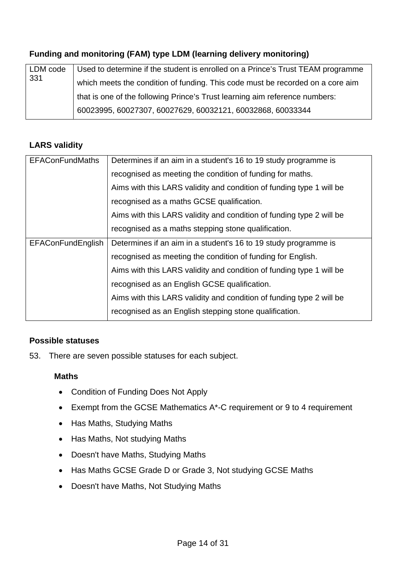#### <span id="page-13-0"></span>**Funding and monitoring (FAM) type LDM (learning delivery monitoring)**

| LDM code<br>331 | Used to determine if the student is enrolled on a Prince's Trust TEAM programme |
|-----------------|---------------------------------------------------------------------------------|
|                 | which meets the condition of funding. This code must be recorded on a core aim  |
|                 | that is one of the following Prince's Trust learning aim reference numbers:     |
|                 | 60023995, 60027307, 60027629, 60032121, 60032868, 60033344                      |

#### <span id="page-13-1"></span>**LARS validity**

| <b>EFAConFundMaths</b>   | Determines if an aim in a student's 16 to 19 study programme is      |
|--------------------------|----------------------------------------------------------------------|
|                          | recognised as meeting the condition of funding for maths.            |
|                          | Aims with this LARS validity and condition of funding type 1 will be |
|                          | recognised as a maths GCSE qualification.                            |
|                          | Aims with this LARS validity and condition of funding type 2 will be |
|                          | recognised as a maths stepping stone qualification.                  |
| <b>EFAConFundEnglish</b> | Determines if an aim in a student's 16 to 19 study programme is      |
|                          | recognised as meeting the condition of funding for English.          |
|                          | Aims with this LARS validity and condition of funding type 1 will be |
|                          | recognised as an English GCSE qualification.                         |
|                          | Aims with this LARS validity and condition of funding type 2 will be |
|                          | recognised as an English stepping stone qualification.               |

#### <span id="page-13-2"></span>**Possible statuses**

53. There are seven possible statuses for each subject.

#### <span id="page-13-3"></span>**Maths**

- Condition of Funding Does Not Apply
- Exempt from the GCSE Mathematics A\*-C requirement or 9 to 4 requirement
- Has Maths, Studying Maths
- Has Maths, Not studying Maths
- Doesn't have Maths, Studying Maths
- Has Maths GCSE Grade D or Grade 3, Not studying GCSE Maths
- Doesn't have Maths, Not Studying Maths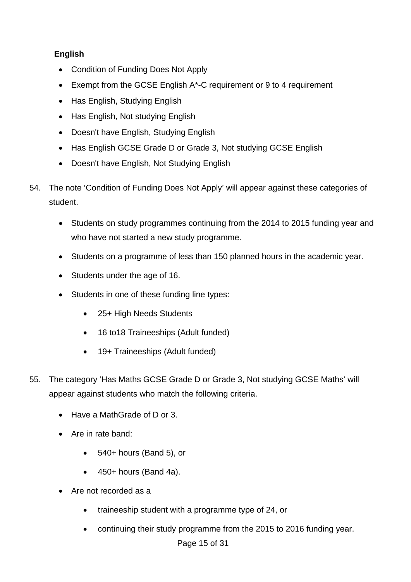#### <span id="page-14-0"></span>**English**

- Condition of Funding Does Not Apply
- Exempt from the GCSE English A\*-C requirement or 9 to 4 requirement
- Has English, Studying English
- Has English, Not studying English
- Doesn't have English, Studying English
- Has English GCSE Grade D or Grade 3, Not studying GCSE English
- Doesn't have English, Not Studying English
- 54. The note 'Condition of Funding Does Not Apply' will appear against these categories of student.
	- Students on study programmes continuing from the 2014 to 2015 funding year and who have not started a new study programme.
	- Students on a programme of less than 150 planned hours in the academic year.
	- Students under the age of 16.
	- Students in one of these funding line types:
		- 25+ High Needs Students
		- 16 to18 Traineeships (Adult funded)
		- 19+ Traineeships (Adult funded)
- 55. The category 'Has Maths GCSE Grade D or Grade 3, Not studying GCSE Maths' will appear against students who match the following criteria.
	- Have a MathGrade of D or 3.
	- Are in rate band:
		- 540+ hours (Band 5), or
		- $\bullet$  450+ hours (Band 4a).
	- Are not recorded as a
		- traineeship student with a programme type of 24, or
		- continuing their study programme from the 2015 to 2016 funding year.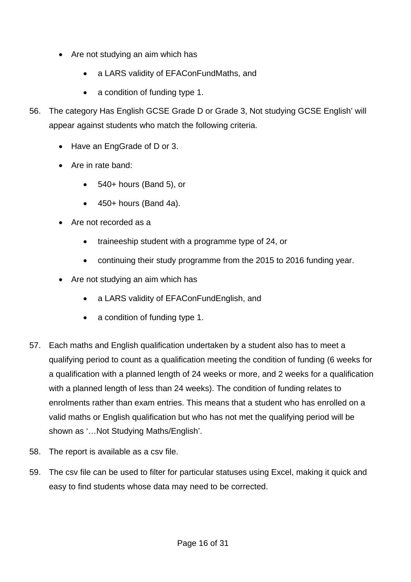- Are not studying an aim which has
	- a LARS validity of EFAConFundMaths, and
	- a condition of funding type 1.
- 56. The category Has English GCSE Grade D or Grade 3, Not studying GCSE English' will appear against students who match the following criteria.
	- Have an EngGrade of D or 3.
	- Are in rate band:
		- 540+ hours (Band 5), or
		- $\bullet$  450+ hours (Band 4a).
	- Are not recorded as a
		- traineeship student with a programme type of 24, or
		- continuing their study programme from the 2015 to 2016 funding year.
	- Are not studying an aim which has
		- a LARS validity of EFAConFundEnglish, and
		- a condition of funding type 1.
- 57. Each maths and English qualification undertaken by a student also has to meet a qualifying period to count as a qualification meeting the condition of funding (6 weeks for a qualification with a planned length of 24 weeks or more, and 2 weeks for a qualification with a planned length of less than 24 weeks). The condition of funding relates to enrolments rather than exam entries. This means that a student who has enrolled on a valid maths or English qualification but who has not met the qualifying period will be shown as '…Not Studying Maths/English'.
- 58. The report is available as a csv file.
- 59. The csv file can be used to filter for particular statuses using Excel, making it quick and easy to find students whose data may need to be corrected.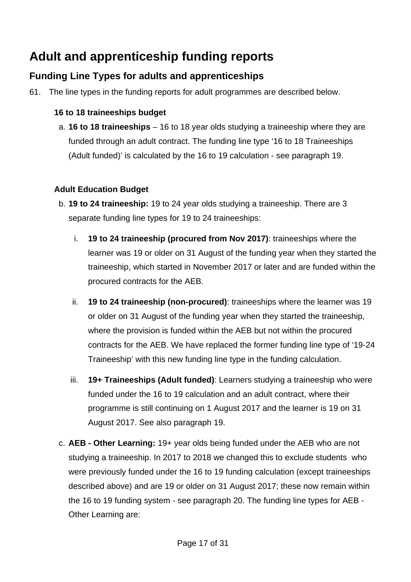# <span id="page-16-0"></span>**Adult and apprenticeship funding reports**

# <span id="page-16-1"></span>**Funding Line Types for adults and apprenticeships**

<span id="page-16-2"></span>61. The line types in the funding reports for adult programmes are described below.

#### **16 to 18 traineeships budget**

a. **16 to 18 traineeships** – 16 to 18 year olds studying a traineeship where they are funded through an adult contract. The funding line type '16 to 18 Traineeships (Adult funded)' is calculated by the 16 to 19 calculation - see paragraph [19.](#page-7-1)

#### **Adult Education Budget**

- b. **19 to 24 traineeship:** 19 to 24 year olds studying a traineeship. There are 3 separate funding line types for 19 to 24 traineeships:
	- i. **19 to 24 traineeship (procured from Nov 2017)**: traineeships where the learner was 19 or older on 31 August of the funding year when they started the traineeship, which started in November 2017 or later and are funded within the procured contracts for the AEB.
	- ii. **19 to 24 traineeship (non-procured)**: traineeships where the learner was 19 or older on 31 August of the funding year when they started the traineeship, where the provision is funded within the AEB but not within the procured contracts for the AEB. We have replaced the former funding line type of '19-24 Traineeship' with this new funding line type in the funding calculation.
	- iii. **19+ Traineeships (Adult funded)**: Learners studying a traineeship who were funded under the 16 to 19 calculation and an adult contract, where their programme is still continuing on 1 August 2017 and the learner is 19 on 31 August 2017. See also paragraph [19.](#page-7-1)
- c. **AEB - Other Learning:** 19+ year olds being funded under the AEB who are not studying a traineeship. In 2017 to 2018 we changed this to exclude students who were previously funded under the 16 to 19 funding calculation (except traineeships described above) and are 19 or older on 31 August 2017; these now remain within the 16 to 19 funding system - see paragraph [20.](#page-7-2) The funding line types for AEB - Other Learning are: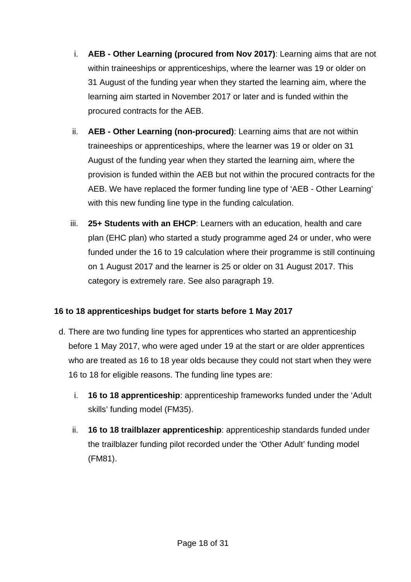- i. **AEB - Other Learning (procured from Nov 2017)**: Learning aims that are not within traineeships or apprenticeships, where the learner was 19 or older on 31 August of the funding year when they started the learning aim, where the learning aim started in November 2017 or later and is funded within the procured contracts for the AEB.
- ii. **AEB - Other Learning (non-procured)**: Learning aims that are not within traineeships or apprenticeships, where the learner was 19 or older on 31 August of the funding year when they started the learning aim, where the provision is funded within the AEB but not within the procured contracts for the AEB. We have replaced the former funding line type of 'AEB - Other Learning' with this new funding line type in the funding calculation.
- iii. **25+ Students with an EHCP**: Learners with an education, health and care plan (EHC plan) who started a study programme aged 24 or under, who were funded under the 16 to 19 calculation where their programme is still continuing on 1 August 2017 and the learner is 25 or older on 31 August 2017. This category is extremely rare. See also paragraph [19.](#page-7-1)

#### **16 to 18 apprenticeships budget for starts before 1 May 2017**

- d. There are two funding line types for apprentices who started an apprenticeship before 1 May 2017, who were aged under 19 at the start or are older apprentices who are treated as 16 to 18 year olds because they could not start when they were 16 to 18 for eligible reasons. The funding line types are:
	- i. **16 to 18 apprenticeship**: apprenticeship frameworks funded under the 'Adult skills' funding model (FM35).
	- ii. **16 to 18 trailblazer apprenticeship**: apprenticeship standards funded under the trailblazer funding pilot recorded under the 'Other Adult' funding model (FM81).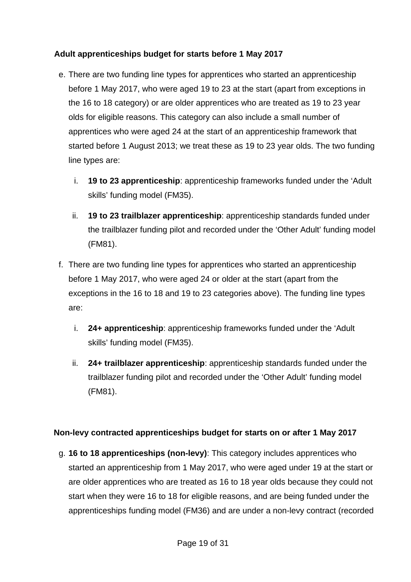#### **Adult apprenticeships budget for starts before 1 May 2017**

- e. There are two funding line types for apprentices who started an apprenticeship before 1 May 2017, who were aged 19 to 23 at the start (apart from exceptions in the 16 to 18 category) or are older apprentices who are treated as 19 to 23 year olds for eligible reasons. This category can also include a small number of apprentices who were aged 24 at the start of an apprenticeship framework that started before 1 August 2013; we treat these as 19 to 23 year olds. The two funding line types are:
	- i. **19 to 23 apprenticeship**: apprenticeship frameworks funded under the 'Adult skills' funding model (FM35).
	- ii. **19 to 23 trailblazer apprenticeship**: apprenticeship standards funded under the trailblazer funding pilot and recorded under the 'Other Adult' funding model (FM81).
- f. There are two funding line types for apprentices who started an apprenticeship before 1 May 2017, who were aged 24 or older at the start (apart from the exceptions in the 16 to 18 and 19 to 23 categories above). The funding line types are:
	- i. **24+ apprenticeship**: apprenticeship frameworks funded under the 'Adult skills' funding model (FM35).
	- ii. **24+ trailblazer apprenticeship**: apprenticeship standards funded under the trailblazer funding pilot and recorded under the 'Other Adult' funding model (FM81).

#### **Non-levy contracted apprenticeships budget for starts on or after 1 May 2017**

g. **16 to 18 apprenticeships (non-levy)**: This category includes apprentices who started an apprenticeship from 1 May 2017, who were aged under 19 at the start or are older apprentices who are treated as 16 to 18 year olds because they could not start when they were 16 to 18 for eligible reasons, and are being funded under the apprenticeships funding model (FM36) and are under a non-levy contract (recorded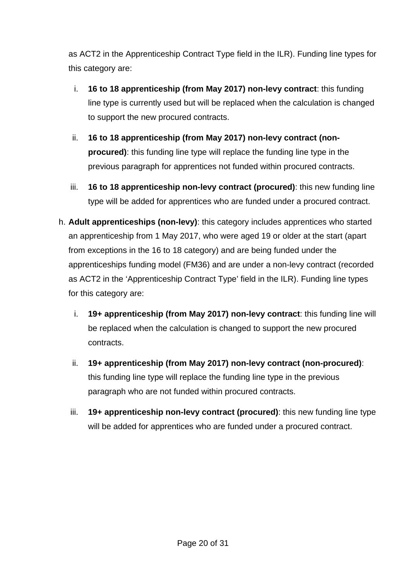as ACT2 in the Apprenticeship Contract Type field in the ILR). Funding line types for this category are:

- i. **16 to 18 apprenticeship (from May 2017) non-levy contract**: this funding line type is currently used but will be replaced when the calculation is changed to support the new procured contracts.
- ii. **16 to 18 apprenticeship (from May 2017) non-levy contract (nonprocured)**: this funding line type will replace the funding line type in the previous paragraph for apprentices not funded within procured contracts.
- iii. **16 to 18 apprenticeship non-levy contract (procured)**: this new funding line type will be added for apprentices who are funded under a procured contract.
- h. **Adult apprenticeships (non-levy)**: this category includes apprentices who started an apprenticeship from 1 May 2017, who were aged 19 or older at the start (apart from exceptions in the 16 to 18 category) and are being funded under the apprenticeships funding model (FM36) and are under a non-levy contract (recorded as ACT2 in the 'Apprenticeship Contract Type' field in the ILR). Funding line types for this category are:
	- i. **19+ apprenticeship (from May 2017) non-levy contract**: this funding line will be replaced when the calculation is changed to support the new procured contracts.
	- ii. **19+ apprenticeship (from May 2017) non-levy contract (non-procured)**: this funding line type will replace the funding line type in the previous paragraph who are not funded within procured contracts.
	- iii. **19+ apprenticeship non-levy contract (procured)**: this new funding line type will be added for apprentices who are funded under a procured contract.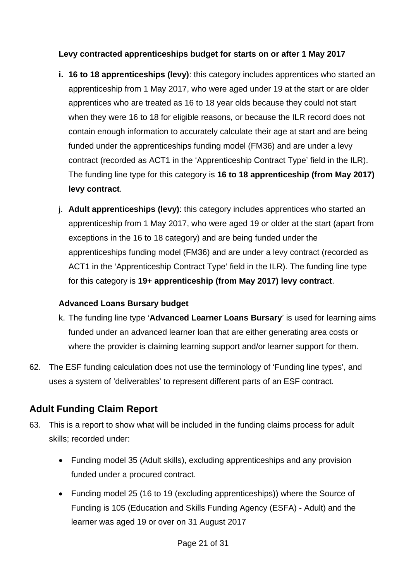#### **Levy contracted apprenticeships budget for starts on or after 1 May 2017**

- **i. 16 to 18 apprenticeships (levy)**: this category includes apprentices who started an apprenticeship from 1 May 2017, who were aged under 19 at the start or are older apprentices who are treated as 16 to 18 year olds because they could not start when they were 16 to 18 for eligible reasons, or because the ILR record does not contain enough information to accurately calculate their age at start and are being funded under the apprenticeships funding model (FM36) and are under a levy contract (recorded as ACT1 in the 'Apprenticeship Contract Type' field in the ILR). The funding line type for this category is **16 to 18 apprenticeship (from May 2017) levy contract**.
- j. **Adult apprenticeships (levy)**: this category includes apprentices who started an apprenticeship from 1 May 2017, who were aged 19 or older at the start (apart from exceptions in the 16 to 18 category) and are being funded under the apprenticeships funding model (FM36) and are under a levy contract (recorded as ACT1 in the 'Apprenticeship Contract Type' field in the ILR). The funding line type for this category is **19+ apprenticeship (from May 2017) levy contract**.

#### **Advanced Loans Bursary budget**

- k. The funding line type '**Advanced Learner Loans Bursary**' is used for learning aims funded under an advanced learner loan that are either generating area costs or where the provider is claiming learning support and/or learner support for them.
- 62. The ESF funding calculation does not use the terminology of 'Funding line types', and uses a system of 'deliverables' to represent different parts of an ESF contract.

# <span id="page-20-0"></span>**Adult Funding Claim Report**

- 63. This is a report to show what will be included in the funding claims process for adult skills; recorded under:
	- Funding model 35 (Adult skills), excluding apprenticeships and any provision funded under a procured contract.
	- Funding model 25 (16 to 19 (excluding apprenticeships)) where the Source of Funding is 105 (Education and Skills Funding Agency (ESFA) - Adult) and the learner was aged 19 or over on 31 August 2017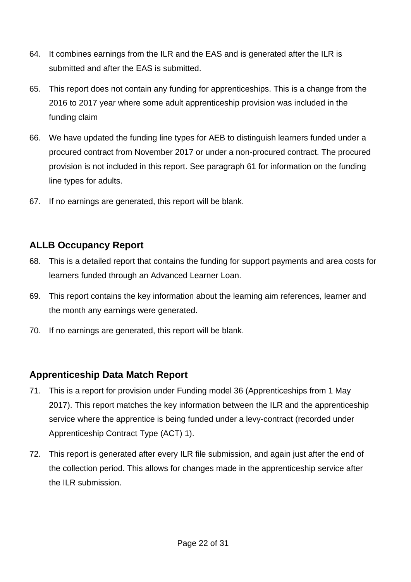- 64. It combines earnings from the ILR and the EAS and is generated after the ILR is submitted and after the EAS is submitted.
- 65. This report does not contain any funding for apprenticeships. This is a change from the 2016 to 2017 year where some adult apprenticeship provision was included in the funding claim
- 66. We have updated the funding line types for AEB to distinguish learners funded under a procured contract from November 2017 or under a non-procured contract. The procured provision is not included in this report. See paragraph [61](#page-16-2) for information on the funding line types for adults.
- 67. If no earnings are generated, this report will be blank.

### <span id="page-21-0"></span>**ALLB Occupancy Report**

- 68. This is a detailed report that contains the funding for support payments and area costs for learners funded through an Advanced Learner Loan.
- 69. This report contains the key information about the learning aim references, learner and the month any earnings were generated.
- 70. If no earnings are generated, this report will be blank.

#### <span id="page-21-1"></span>**Apprenticeship Data Match Report**

- 71. This is a report for provision under Funding model 36 (Apprenticeships from 1 May 2017). This report matches the key information between the ILR and the apprenticeship service where the apprentice is being funded under a levy-contract (recorded under Apprenticeship Contract Type (ACT) 1).
- 72. This report is generated after every ILR file submission, and again just after the end of the collection period. This allows for changes made in the apprenticeship service after the ILR submission.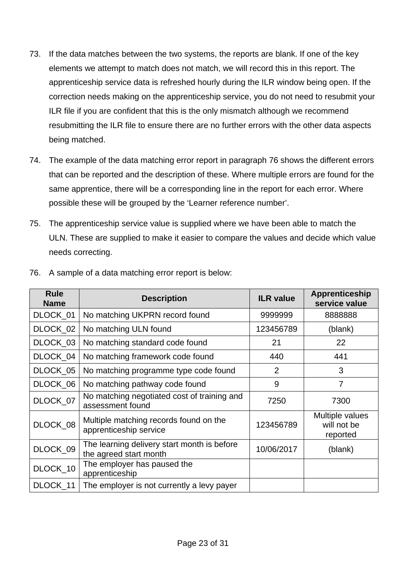- 73. If the data matches between the two systems, the reports are blank. If one of the key elements we attempt to match does not match, we will record this in this report. The apprenticeship service data is refreshed hourly during the ILR window being open. If the correction needs making on the apprenticeship service, you do not need to resubmit your ILR file if you are confident that this is the only mismatch although we recommend resubmitting the ILR file to ensure there are no further errors with the other data aspects being matched.
- 74. The example of the data matching error report in paragraph [76](#page-22-0) shows the different errors that can be reported and the description of these. Where multiple errors are found for the same apprentice, there will be a corresponding line in the report for each error. Where possible these will be grouped by the 'Learner reference number'.
- 75. The apprenticeship service value is supplied where we have been able to match the ULN. These are supplied to make it easier to compare the values and decide which value needs correcting.

| <b>Rule</b><br><b>Name</b> | <b>Description</b>                                                    | <b>ILR value</b> | Apprenticeship<br>service value            |
|----------------------------|-----------------------------------------------------------------------|------------------|--------------------------------------------|
| DLOCK_01                   | No matching UKPRN record found                                        | 9999999          | 8888888                                    |
| DLOCK_02                   | No matching ULN found                                                 | 123456789        | (blank)                                    |
| DLOCK_03                   | No matching standard code found                                       | 21               | 22                                         |
| DLOCK_04                   | No matching framework code found                                      | 440              | 441                                        |
| DLOCK_05                   | No matching programme type code found                                 | 2                | 3                                          |
| DLOCK_06                   | No matching pathway code found                                        | 9                | $\overline{7}$                             |
| DLOCK 07                   | No matching negotiated cost of training and<br>assessment found       | 7250             | 7300                                       |
| DLOCK_08                   | Multiple matching records found on the<br>apprenticeship service      | 123456789        | Multiple values<br>will not be<br>reported |
| DLOCK_09                   | The learning delivery start month is before<br>the agreed start month | 10/06/2017       | (blank)                                    |
| DLOCK_10                   | The employer has paused the<br>apprenticeship                         |                  |                                            |
| DLOCK_11                   | The employer is not currently a levy payer                            |                  |                                            |

<span id="page-22-0"></span>76. A sample of a data matching error report is below: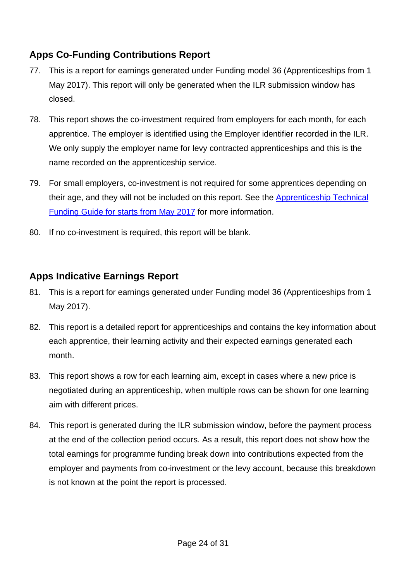# <span id="page-23-0"></span>**Apps Co-Funding Contributions Report**

- 77. This is a report for earnings generated under Funding model 36 (Apprenticeships from 1 May 2017). This report will only be generated when the ILR submission window has closed.
- 78. This report shows the co-investment required from employers for each month, for each apprentice. The employer is identified using the Employer identifier recorded in the ILR. We only supply the employer name for levy contracted apprenticeships and this is the name recorded on the apprenticeship service.
- 79. For small employers, co-investment is not required for some apprentices depending on their age, and they will not be included on this report. See the [Apprenticeship Technical](https://www.gov.uk/government/publications/apprenticeship-technical-funding-guide)  [Funding Guide for starts from May 2017](https://www.gov.uk/government/publications/apprenticeship-technical-funding-guide) for more information.
- 80. If no co-investment is required, this report will be blank.

# <span id="page-23-1"></span>**Apps Indicative Earnings Report**

- 81. This is a report for earnings generated under Funding model 36 (Apprenticeships from 1 May 2017).
- 82. This report is a detailed report for apprenticeships and contains the key information about each apprentice, their learning activity and their expected earnings generated each month.
- 83. This report shows a row for each learning aim, except in cases where a new price is negotiated during an apprenticeship, when multiple rows can be shown for one learning aim with different prices.
- 84. This report is generated during the ILR submission window, before the payment process at the end of the collection period occurs. As a result, this report does not show how the total earnings for programme funding break down into contributions expected from the employer and payments from co-investment or the levy account, because this breakdown is not known at the point the report is processed.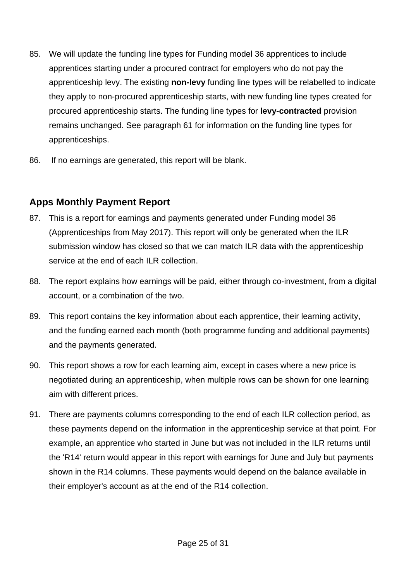- 85. We will update the funding line types for Funding model 36 apprentices to include apprentices starting under a procured contract for employers who do not pay the apprenticeship levy. The existing **non-levy** funding line types will be relabelled to indicate they apply to non-procured apprenticeship starts, with new funding line types created for procured apprenticeship starts. The funding line types for **levy-contracted** provision remains unchanged. See paragraph [61](#page-16-2) for information on the funding line types for apprenticeships.
- 86. If no earnings are generated, this report will be blank.

# <span id="page-24-0"></span>**Apps Monthly Payment Report**

- 87. This is a report for earnings and payments generated under Funding model 36 (Apprenticeships from May 2017). This report will only be generated when the ILR submission window has closed so that we can match ILR data with the apprenticeship service at the end of each ILR collection.
- 88. The report explains how earnings will be paid, either through co-investment, from a digital account, or a combination of the two.
- 89. This report contains the key information about each apprentice, their learning activity, and the funding earned each month (both programme funding and additional payments) and the payments generated.
- 90. This report shows a row for each learning aim, except in cases where a new price is negotiated during an apprenticeship, when multiple rows can be shown for one learning aim with different prices.
- 91. There are payments columns corresponding to the end of each ILR collection period, as these payments depend on the information in the apprenticeship service at that point. For example, an apprentice who started in June but was not included in the ILR returns until the 'R14' return would appear in this report with earnings for June and July but payments shown in the R14 columns. These payments would depend on the balance available in their employer's account as at the end of the R14 collection.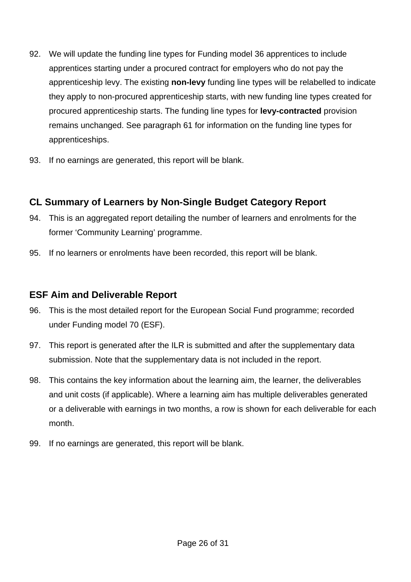- 92. We will update the funding line types for Funding model 36 apprentices to include apprentices starting under a procured contract for employers who do not pay the apprenticeship levy. The existing **non-levy** funding line types will be relabelled to indicate they apply to non-procured apprenticeship starts, with new funding line types created for procured apprenticeship starts. The funding line types for **levy-contracted** provision remains unchanged. See paragraph [61](#page-16-2) for information on the funding line types for apprenticeships.
- 93. If no earnings are generated, this report will be blank.

## <span id="page-25-0"></span>**CL Summary of Learners by Non-Single Budget Category Report**

- 94. This is an aggregated report detailing the number of learners and enrolments for the former 'Community Learning' programme.
- 95. If no learners or enrolments have been recorded, this report will be blank.

#### <span id="page-25-1"></span>**ESF Aim and Deliverable Report**

- 96. This is the most detailed report for the European Social Fund programme; recorded under Funding model 70 (ESF).
- 97. This report is generated after the ILR is submitted and after the supplementary data submission. Note that the supplementary data is not included in the report.
- 98. This contains the key information about the learning aim, the learner, the deliverables and unit costs (if applicable). Where a learning aim has multiple deliverables generated or a deliverable with earnings in two months, a row is shown for each deliverable for each month.
- 99. If no earnings are generated, this report will be blank.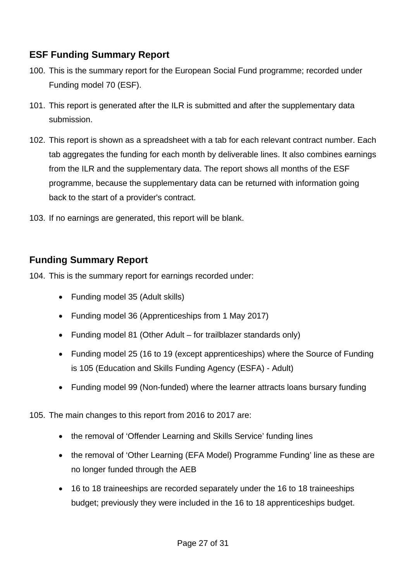# <span id="page-26-0"></span>**ESF Funding Summary Report**

- 100. This is the summary report for the European Social Fund programme; recorded under Funding model 70 (ESF).
- 101. This report is generated after the ILR is submitted and after the supplementary data submission.
- 102. This report is shown as a spreadsheet with a tab for each relevant contract number. Each tab aggregates the funding for each month by deliverable lines. It also combines earnings from the ILR and the supplementary data. The report shows all months of the ESF programme, because the supplementary data can be returned with information going back to the start of a provider's contract.
- 103. If no earnings are generated, this report will be blank.

#### <span id="page-26-1"></span>**Funding Summary Report**

104. This is the summary report for earnings recorded under:

- Funding model 35 (Adult skills)
- Funding model 36 (Apprenticeships from 1 May 2017)
- Funding model 81 (Other Adult for trailblazer standards only)
- Funding model 25 (16 to 19 (except apprenticeships) where the Source of Funding is 105 (Education and Skills Funding Agency (ESFA) - Adult)
- Funding model 99 (Non-funded) where the learner attracts loans bursary funding
- 105. The main changes to this report from 2016 to 2017 are:
	- the removal of 'Offender Learning and Skills Service' funding lines
	- the removal of 'Other Learning (EFA Model) Programme Funding' line as these are no longer funded through the AEB
	- 16 to 18 traineeships are recorded separately under the 16 to 18 traineeships budget; previously they were included in the 16 to 18 apprenticeships budget.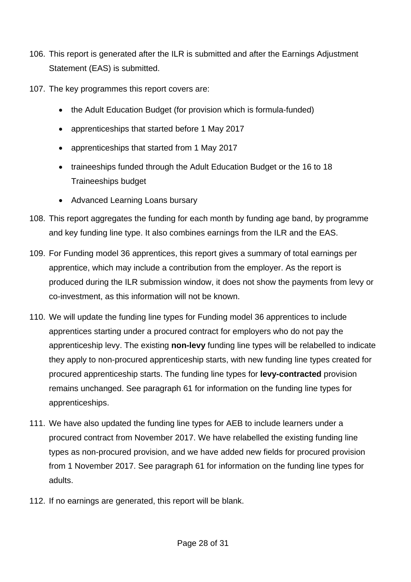- 106. This report is generated after the ILR is submitted and after the Earnings Adjustment Statement (EAS) is submitted.
- 107. The key programmes this report covers are:
	- the Adult Education Budget (for provision which is formula-funded)
	- apprenticeships that started before 1 May 2017
	- apprenticeships that started from 1 May 2017
	- traineeships funded through the Adult Education Budget or the 16 to 18 Traineeships budget
	- Advanced Learning Loans bursary
- 108. This report aggregates the funding for each month by funding age band, by programme and key funding line type. It also combines earnings from the ILR and the EAS.
- 109. For Funding model 36 apprentices, this report gives a summary of total earnings per apprentice, which may include a contribution from the employer. As the report is produced during the ILR submission window, it does not show the payments from levy or co-investment, as this information will not be known.
- 110. We will update the funding line types for Funding model 36 apprentices to include apprentices starting under a procured contract for employers who do not pay the apprenticeship levy. The existing **non-levy** funding line types will be relabelled to indicate they apply to non-procured apprenticeship starts, with new funding line types created for procured apprenticeship starts. The funding line types for **levy-contracted** provision remains unchanged. See paragraph [61](#page-16-2) for information on the funding line types for apprenticeships.
- 111. We have also updated the funding line types for AEB to include learners under a procured contract from November 2017. We have relabelled the existing funding line types as non-procured provision, and we have added new fields for procured provision from 1 November 2017. See paragraph [61](#page-16-2) for information on the funding line types for adults.
- 112. If no earnings are generated, this report will be blank.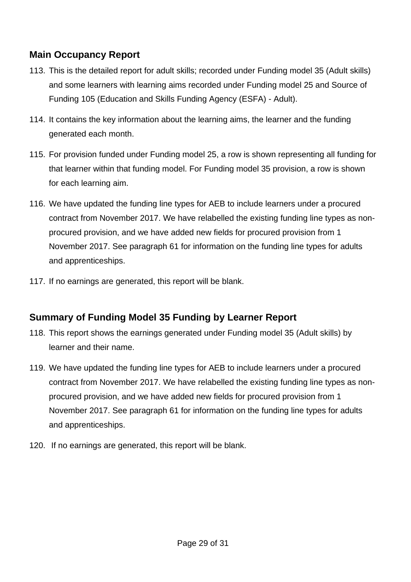# <span id="page-28-0"></span>**Main Occupancy Report**

- 113. This is the detailed report for adult skills; recorded under Funding model 35 (Adult skills) and some learners with learning aims recorded under Funding model 25 and Source of Funding 105 (Education and Skills Funding Agency (ESFA) - Adult).
- 114. It contains the key information about the learning aims, the learner and the funding generated each month.
- 115. For provision funded under Funding model 25, a row is shown representing all funding for that learner within that funding model. For Funding model 35 provision, a row is shown for each learning aim.
- 116. We have updated the funding line types for AEB to include learners under a procured contract from November 2017. We have relabelled the existing funding line types as nonprocured provision, and we have added new fields for procured provision from 1 November 2017. See paragraph [61](#page-16-2) for information on the funding line types for adults and apprenticeships.
- 117. If no earnings are generated, this report will be blank.

## <span id="page-28-1"></span>**Summary of Funding Model 35 Funding by Learner Report**

- 118. This report shows the earnings generated under Funding model 35 (Adult skills) by learner and their name.
- 119. We have updated the funding line types for AEB to include learners under a procured contract from November 2017. We have relabelled the existing funding line types as nonprocured provision, and we have added new fields for procured provision from 1 November 2017. See paragraph [61](#page-16-2) for information on the funding line types for adults and apprenticeships.
- 120. If no earnings are generated, this report will be blank.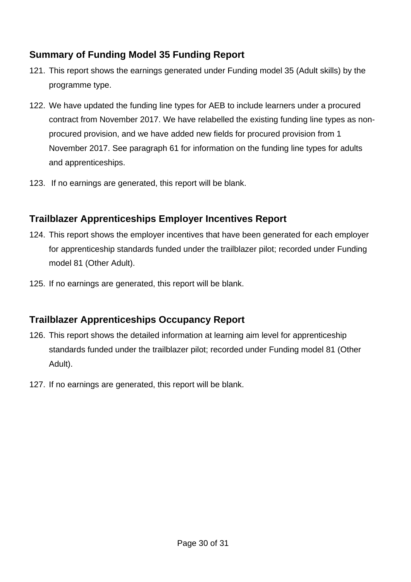# <span id="page-29-0"></span>**Summary of Funding Model 35 Funding Report**

- 121. This report shows the earnings generated under Funding model 35 (Adult skills) by the programme type.
- 122. We have updated the funding line types for AEB to include learners under a procured contract from November 2017. We have relabelled the existing funding line types as nonprocured provision, and we have added new fields for procured provision from 1 November 2017. See paragraph [61](#page-16-2) for information on the funding line types for adults and apprenticeships.
- 123. If no earnings are generated, this report will be blank.

## <span id="page-29-1"></span>**Trailblazer Apprenticeships Employer Incentives Report**

- 124. This report shows the employer incentives that have been generated for each employer for apprenticeship standards funded under the trailblazer pilot; recorded under Funding model 81 (Other Adult).
- 125. If no earnings are generated, this report will be blank.

## <span id="page-29-2"></span>**Trailblazer Apprenticeships Occupancy Report**

- 126. This report shows the detailed information at learning aim level for apprenticeship standards funded under the trailblazer pilot; recorded under Funding model 81 (Other Adult).
- 127. If no earnings are generated, this report will be blank.